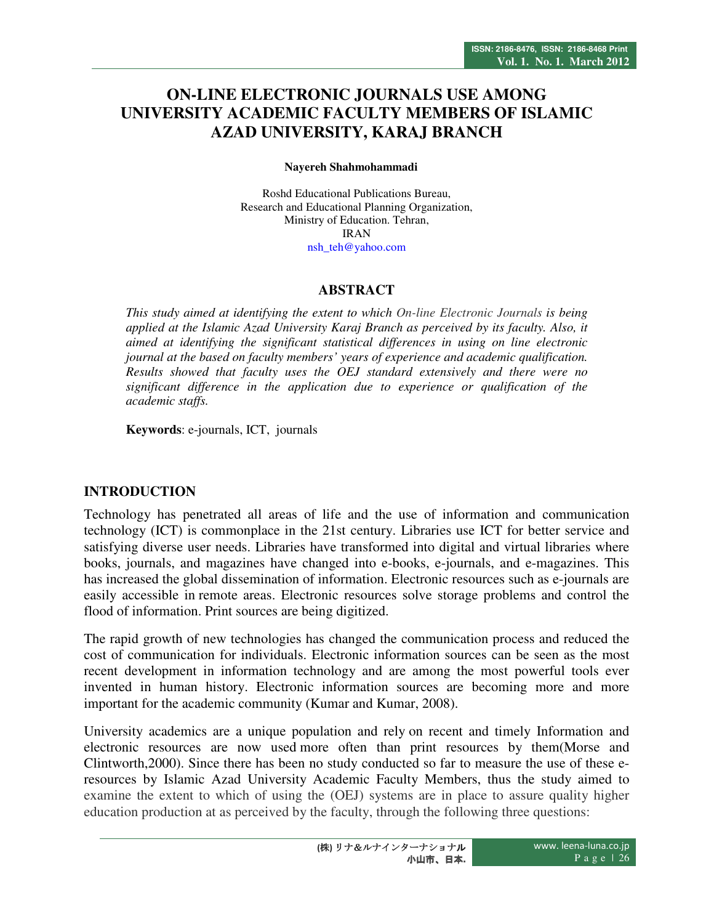# **ON-LINE ELECTRONIC JOURNALS USE AMONG UNIVERSITY ACADEMIC FACULTY MEMBERS OF ISLAMIC AZAD UNIVERSITY, KARAJ BRANCH**

**Nayereh Shahmohammadi** 

Roshd Educational Publications Bureau, Research and Educational Planning Organization, Ministry of Education. Tehran, IRAN nsh\_teh@yahoo.com

### **ABSTRACT**

*This study aimed at identifying the extent to which On-line Electronic Journals is being applied at the Islamic Azad University Karaj Branch as perceived by its faculty. Also, it aimed at identifying the significant statistical differences in using on line electronic journal at the based on faculty members' years of experience and academic qualification. Results showed that faculty uses the OEJ standard extensively and there were no significant difference in the application due to experience or qualification of the academic staffs.* 

**Keywords**: e-journals, ICT, journals

# **INTRODUCTION**

Technology has penetrated all areas of life and the use of information and communication technology (ICT) is commonplace in the 21st century. Libraries use ICT for better service and satisfying diverse user needs. Libraries have transformed into digital and virtual libraries where books, journals, and magazines have changed into e-books, e-journals, and e-magazines. This has increased the global dissemination of information. Electronic resources such as e-journals are easily accessible in remote areas. Electronic resources solve storage problems and control the flood of information. Print sources are being digitized.

The rapid growth of new technologies has changed the communication process and reduced the cost of communication for individuals. Electronic information sources can be seen as the most recent development in information technology and are among the most powerful tools ever invented in human history. Electronic information sources are becoming more and more important for the academic community (Kumar and Kumar, 2008).

University academics are a unique population and rely on recent and timely Information and electronic resources are now used more often than print resources by them(Morse and Clintworth,2000). Since there has been no study conducted so far to measure the use of these eresources by Islamic Azad University Academic Faculty Members, thus the study aimed to examine the extent to which of using the (OEJ) systems are in place to assure quality higher education production at as perceived by the faculty, through the following three questions: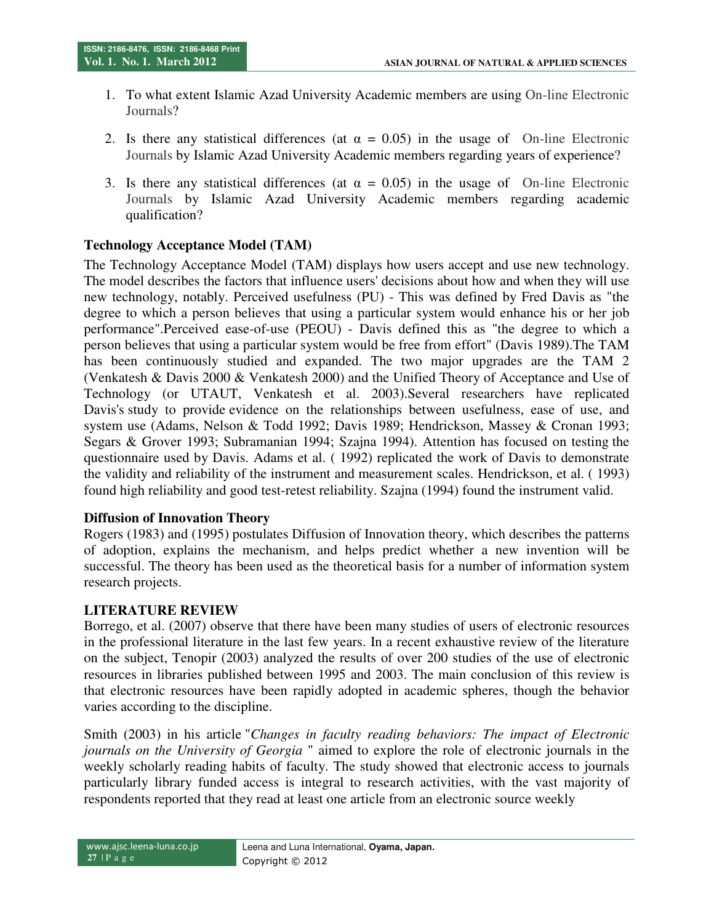- 1. To what extent Islamic Azad University Academic members are using On-line Electronic Journals?
- 2. Is there any statistical differences (at  $\alpha = 0.05$ ) in the usage of On-line Electronic Journals by Islamic Azad University Academic members regarding years of experience?
- 3. Is there any statistical differences (at  $\alpha = 0.05$ ) in the usage of On-line Electronic Journals by Islamic Azad University Academic members regarding academic qualification?

# **Technology Acceptance Model (TAM)**

The Technology Acceptance Model (TAM) displays how users accept and use new technology. The model describes the factors that influence users' decisions about how and when they will use new technology, notably. Perceived usefulness (PU) - This was defined by Fred Davis as "the degree to which a person believes that using a particular system would enhance his or her job performance".Perceived ease-of-use (PEOU) - Davis defined this as "the degree to which a person believes that using a particular system would be free from effort" (Davis 1989).The TAM has been continuously studied and expanded. The two major upgrades are the TAM 2 (Venkatesh & Davis 2000 & Venkatesh 2000) and the Unified Theory of Acceptance and Use of Technology (or UTAUT, Venkatesh et al. 2003).Several researchers have replicated Davis's study to provide evidence on the relationships between usefulness, ease of use, and system use (Adams, Nelson & Todd 1992; Davis 1989; Hendrickson, Massey & Cronan 1993; Segars & Grover 1993; Subramanian 1994; Szajna 1994). Attention has focused on testing the questionnaire used by Davis. Adams et al. ( 1992) replicated the work of Davis to demonstrate the validity and reliability of the instrument and measurement scales. Hendrickson, et al. ( 1993) found high reliability and good test-retest reliability. Szajna (1994) found the instrument valid.

### **Diffusion of Innovation Theory**

Rogers (1983) and (1995) postulates Diffusion of Innovation theory, which describes the patterns of adoption, explains the mechanism, and helps predict whether a new invention will be successful. The theory has been used as the theoretical basis for a number of information system research projects.

### **LITERATURE REVIEW**

Borrego, et al. (2007) observe that there have been many studies of users of electronic resources in the professional literature in the last few years. In a recent exhaustive review of the literature on the subject, Tenopir (2003) analyzed the results of over 200 studies of the use of electronic resources in libraries published between 1995 and 2003. The main conclusion of this review is that electronic resources have been rapidly adopted in academic spheres, though the behavior varies according to the discipline.

Smith (2003) in his article "*Changes in faculty reading behaviors: The impact of Electronic journals on the University of Georgia* " aimed to explore the role of electronic journals in the weekly scholarly reading habits of faculty. The study showed that electronic access to journals particularly library funded access is integral to research activities, with the vast majority of respondents reported that they read at least one article from an electronic source weekly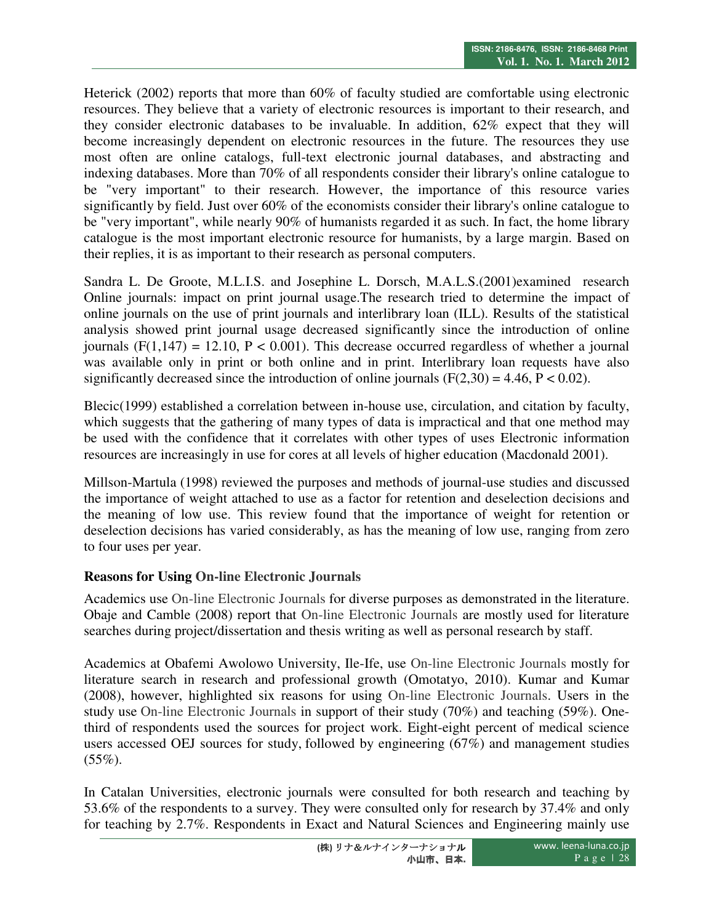Heterick (2002) reports that more than 60% of faculty studied are comfortable using electronic resources. They believe that a variety of electronic resources is important to their research, and they consider electronic databases to be invaluable. In addition, 62% expect that they will become increasingly dependent on electronic resources in the future. The resources they use most often are online catalogs, full-text electronic journal databases, and abstracting and indexing databases. More than 70% of all respondents consider their library's online catalogue to be "very important" to their research. However, the importance of this resource varies significantly by field. Just over 60% of the economists consider their library's online catalogue to be "very important", while nearly 90% of humanists regarded it as such. In fact, the home library catalogue is the most important electronic resource for humanists, by a large margin. Based on their replies, it is as important to their research as personal computers.

Sandra L. De Groote, M.L.I.S. and Josephine L. Dorsch, M.A.L.S.(2001)examined research Online journals: impact on print journal usage.The research tried to determine the impact of online journals on the use of print journals and interlibrary loan (ILL). Results of the statistical analysis showed print journal usage decreased significantly since the introduction of online journals (F(1,147) = 12.10, P < 0.001). This decrease occurred regardless of whether a journal was available only in print or both online and in print. Interlibrary loan requests have also significantly decreased since the introduction of online journals  $(F(2,30) = 4.46, P < 0.02)$ .

Blecic(1999) established a correlation between in-house use, circulation, and citation by faculty, which suggests that the gathering of many types of data is impractical and that one method may be used with the confidence that it correlates with other types of uses Electronic information resources are increasingly in use for cores at all levels of higher education (Macdonald 2001).

Millson-Martula (1998) reviewed the purposes and methods of journal-use studies and discussed the importance of weight attached to use as a factor for retention and deselection decisions and the meaning of low use. This review found that the importance of weight for retention or deselection decisions has varied considerably, as has the meaning of low use, ranging from zero to four uses per year.

# **Reasons for Using On-line Electronic Journals**

Academics use On-line Electronic Journals for diverse purposes as demonstrated in the literature. Obaje and Camble (2008) report that On-line Electronic Journals are mostly used for literature searches during project/dissertation and thesis writing as well as personal research by staff.

Academics at Obafemi Awolowo University, Ile-Ife, use On-line Electronic Journals mostly for literature search in research and professional growth (Omotatyo, 2010). Kumar and Kumar (2008), however, highlighted six reasons for using On-line Electronic Journals. Users in the study use On-line Electronic Journals in support of their study (70%) and teaching (59%). Onethird of respondents used the sources for project work. Eight-eight percent of medical science users accessed OEJ sources for study, followed by engineering (67%) and management studies  $(55\%).$ 

In Catalan Universities, electronic journals were consulted for both research and teaching by 53.6% of the respondents to a survey. They were consulted only for research by 37.4% and only for teaching by 2.7%. Respondents in Exact and Natural Sciences and Engineering mainly use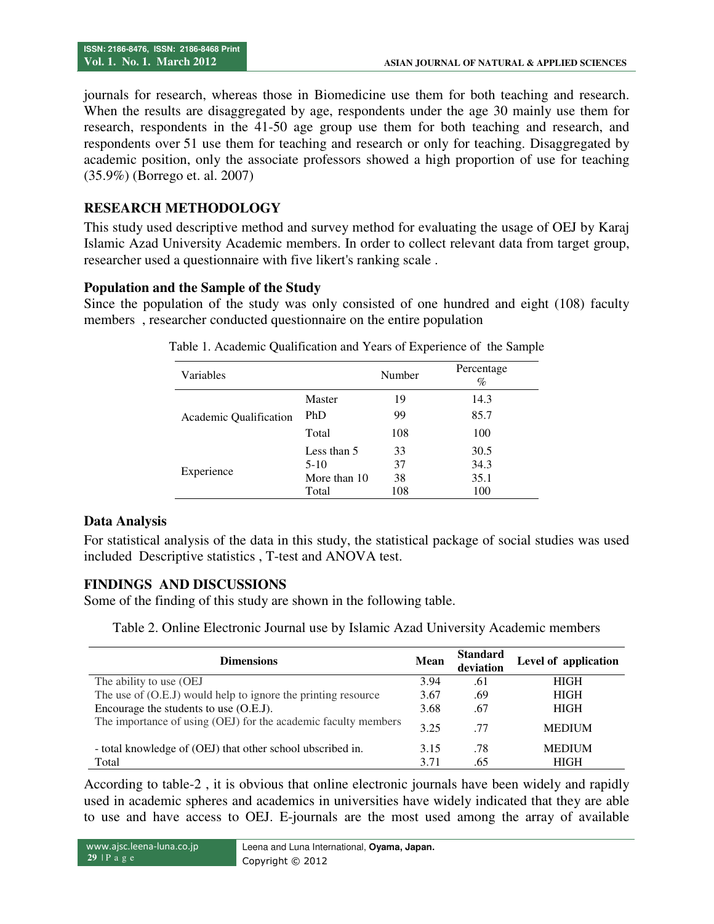journals for research, whereas those in Biomedicine use them for both teaching and research. When the results are disaggregated by age, respondents under the age 30 mainly use them for research, respondents in the 41-50 age group use them for both teaching and research, and respondents over 51 use them for teaching and research or only for teaching. Disaggregated by academic position, only the associate professors showed a high proportion of use for teaching (35.9%) (Borrego et. al. 2007)

# **RESEARCH METHODOLOGY**

This study used descriptive method and survey method for evaluating the usage of OEJ by Karaj Islamic Azad University Academic members. In order to collect relevant data from target group, researcher used a questionnaire with five likert's ranking scale .

# **Population and the Sample of the Study**

Since the population of the study was only consisted of one hundred and eight (108) faculty members , researcher conducted questionnaire on the entire population

| <b>Variables</b>       |              | Number | Percentage<br>$\%$ |
|------------------------|--------------|--------|--------------------|
| Academic Qualification | Master       | 19     | 14.3               |
|                        | PhD          | 99     | 85.7               |
|                        | Total        | 108    | 100                |
| Experience             | Less than 5  | 33     | 30.5               |
|                        | $5-10$       | 37     | 34.3               |
|                        | More than 10 | 38     | 35.1               |
|                        | Total        | 108    | 100                |

Table 1. Academic Qualification and Years of Experience of the Sample

# **Data Analysis**

For statistical analysis of the data in this study, the statistical package of social studies was used included Descriptive statistics , T-test and ANOVA test.

# **FINDINGS AND DISCUSSIONS**

Some of the finding of this study are shown in the following table.

| <b>Dimensions</b>                                              | <b>Mean</b> | <b>Standard</b><br>deviation | Level of application |
|----------------------------------------------------------------|-------------|------------------------------|----------------------|
| The ability to use (OEJ)                                       | 3.94        | .61                          | <b>HIGH</b>          |
| The use of (O.E.J) would help to ignore the printing resource  | 3.67        | .69                          | <b>HIGH</b>          |
| Encourage the students to use (O.E.J).                         |             | .67                          | <b>HIGH</b>          |
| The importance of using (OEJ) for the academic faculty members | 3.25        | -77                          | <b>MEDIUM</b>        |
| - total knowledge of (OEJ) that other school ubscribed in.     | 3.15        | .78                          | <b>MEDIUM</b>        |
| Total                                                          | 3.71        | .65                          | <b>HIGH</b>          |

According to table-2 , it is obvious that online electronic journals have been widely and rapidly used in academic spheres and academics in universities have widely indicated that they are able to use and have access to OEJ. E-journals are the most used among the array of available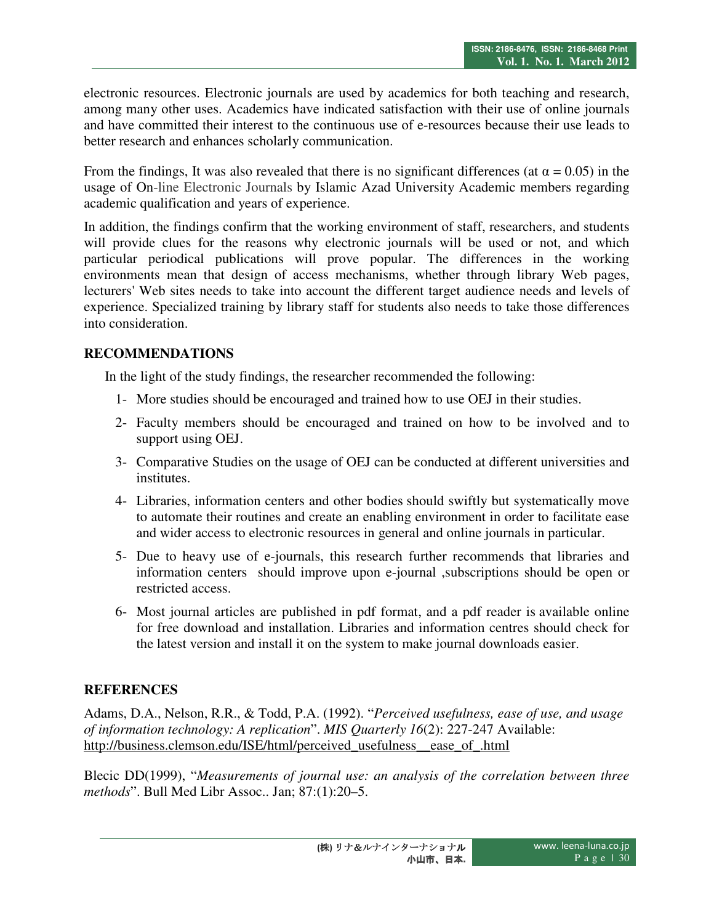electronic resources. Electronic journals are used by academics for both teaching and research, among many other uses. Academics have indicated satisfaction with their use of online journals and have committed their interest to the continuous use of e-resources because their use leads to better research and enhances scholarly communication.

From the findings, It was also revealed that there is no significant differences (at  $\alpha = 0.05$ ) in the usage of On-line Electronic Journals by Islamic Azad University Academic members regarding academic qualification and years of experience.

In addition, the findings confirm that the working environment of staff, researchers, and students will provide clues for the reasons why electronic journals will be used or not, and which particular periodical publications will prove popular. The differences in the working environments mean that design of access mechanisms, whether through library Web pages, lecturers' Web sites needs to take into account the different target audience needs and levels of experience. Specialized training by library staff for students also needs to take those differences into consideration.

# **RECOMMENDATIONS**

In the light of the study findings, the researcher recommended the following:

- 1- More studies should be encouraged and trained how to use OEJ in their studies.
- 2- Faculty members should be encouraged and trained on how to be involved and to support using OEJ.
- 3- Comparative Studies on the usage of OEJ can be conducted at different universities and institutes.
- 4- Libraries, information centers and other bodies should swiftly but systematically move to automate their routines and create an enabling environment in order to facilitate ease and wider access to electronic resources in general and online journals in particular.
- 5- Due to heavy use of e-journals, this research further recommends that libraries and information centers should improve upon e-journal ,subscriptions should be open or restricted access.
- 6- Most journal articles are published in pdf format, and a pdf reader is available online for free download and installation. Libraries and information centres should check for the latest version and install it on the system to make journal downloads easier.

# **REFERENCES**

Adams, D.A., Nelson, R.R., & Todd, P.A. (1992). "*Perceived usefulness, ease of use, and usage of information technology: A replication*". *MIS Quarterly 16*(2): 227-247 Available: http://business.clemson.edu/ISE/html/perceived\_usefulness\_\_ease\_of\_.html

Blecic DD(1999), "*Measurements of journal use: an analysis of the correlation between three methods*". Bull Med Libr Assoc.. Jan; 87:(1):20–5.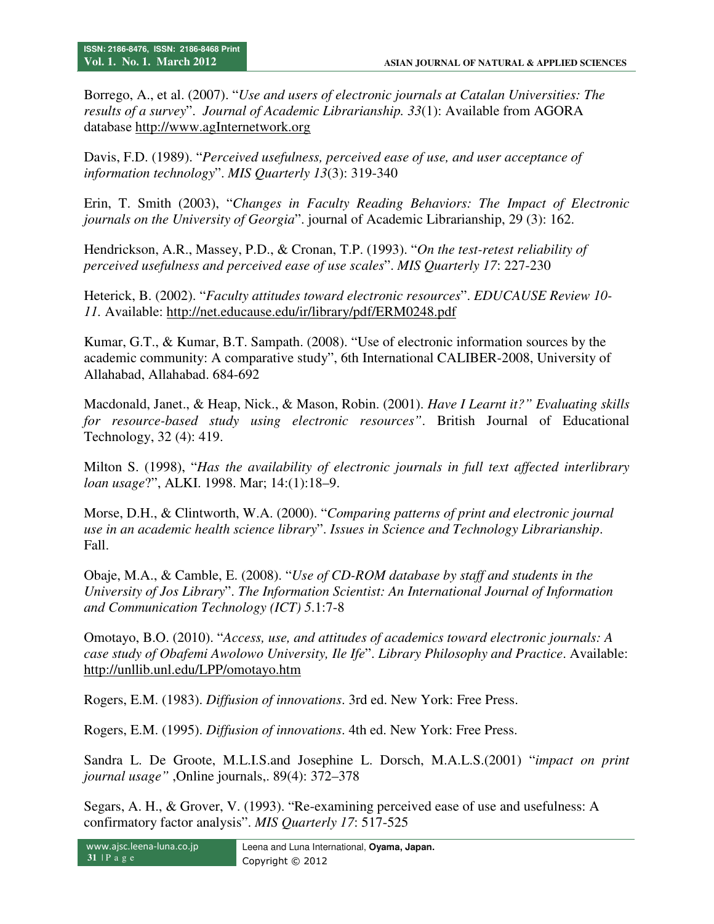Borrego, A., et al. (2007). "*Use and users of electronic journals at Catalan Universities: The results of a survey*". *Journal of Academic Librarianship. 33*(1): Available from AGORA database http://www.agInternetwork.org

Davis, F.D. (1989). "*Perceived usefulness, perceived ease of use, and user acceptance of information technology*". *MIS Quarterly 13*(3): 319-340

Erin, T. Smith (2003), "*Changes in Faculty Reading Behaviors: The Impact of Electronic journals on the University of Georgia*". journal of Academic Librarianship, 29 (3): 162.

Hendrickson, A.R., Massey, P.D., & Cronan, T.P. (1993). "*On the test-retest reliability of perceived usefulness and perceived ease of use scales*". *MIS Quarterly 17*: 227-230

Heterick, B. (2002). "*Faculty attitudes toward electronic resources*". *EDUCAUSE Review 10- 11.* Available: http://net.educause.edu/ir/library/pdf/ERM0248.pdf

Kumar, G.T., & Kumar, B.T. Sampath. (2008). "Use of electronic information sources by the academic community: A comparative study", 6th International CALIBER-2008, University of Allahabad, Allahabad. 684-692

Macdonald, Janet., & Heap, Nick., & Mason, Robin. (2001). *Have I Learnt it?" Evaluating skills for resource-based study using electronic resources"*. British Journal of Educational Technology, 32 (4): 419.

Milton S. (1998), "*Has the availability of electronic journals in full text affected interlibrary loan usage*?", ALKI. 1998. Mar; 14:(1):18–9.

Morse, D.H., & Clintworth, W.A. (2000). "*Comparing patterns of print and electronic journal use in an academic health science library*". *Issues in Science and Technology Librarianship*. Fall.

Obaje, M.A., & Camble, E. (2008). "*Use of CD-ROM database by staff and students in the University of Jos Library*". *The Information Scientist: An International Journal of Information and Communication Technology (ICT) 5*.1:7-8

Omotayo, B.O. (2010). "*Access, use, and attitudes of academics toward electronic journals: A case study of Obafemi Awolowo University, Ile Ife*". *Library Philosophy and Practice*. Available: http://unllib.unl.edu/LPP/omotayo.htm

Rogers, E.M. (1983). *Diffusion of innovations*. 3rd ed. New York: Free Press.

Rogers, E.M. (1995). *Diffusion of innovations*. 4th ed. New York: Free Press.

Sandra L. De Groote, M.L.I.S.and Josephine L. Dorsch, M.A.L.S.(2001) "*impact on print journal usage"* ,Online journals,. 89(4): 372–378

Segars, A. H., & Grover, V. (1993). "Re-examining perceived ease of use and usefulness: A confirmatory factor analysis". *MIS Quarterly 17*: 517-525